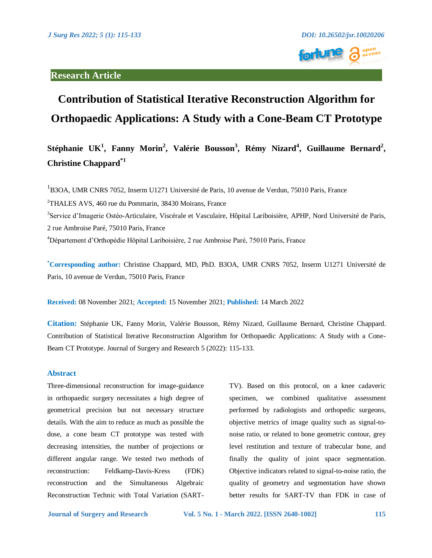### **Research Article**



# **Contribution of Statistical Iterative Reconstruction Algorithm for Orthopaedic Applications: A Study with a Cone-Beam CT Prototype**

## **Stéphanie UK<sup>1</sup> , Fanny Morin<sup>2</sup> , Valérie Bousson<sup>3</sup> , Rémy Nizard<sup>4</sup> , Guillaume Bernard<sup>2</sup> , Christine Chappard\*1**

<sup>1</sup>B3OA, UMR CNRS 7052, Inserm U1271 Université de Paris, 10 avenue de Verdun, 75010 Paris, France <sup>2</sup>THALES AVS, 460 rue du Pommarin, 38430 Moirans, France <sup>3</sup>Service d'Imagerie Ostéo-Articulaire, Viscérale et Vasculaire, Hôpital Lariboisière, APHP, Nord Université de Paris, 2 rue Ambroise Paré, 75010 Paris, France <sup>4</sup>Département d'Orthopédie Hôpital Lariboisière, 2 rue Ambroise Paré, 75010 Paris, France

**\*Corresponding author:** Christine Chappard, MD, PhD. B3OA, UMR CNRS 7052, Inserm U1271 Université de Paris, 10 avenue de Verdun, 75010 Paris, France

**Received:** 08 November 2021; **Accepted:** 15 November 2021; **Published:** 14 March 2022

**Citation:** Stéphanie UK, Fanny Morin, Valérie Bousson, Rémy Nizard, Guillaume Bernard, Christine Chappard. Contribution of Statistical Iterative Reconstruction Algorithm for Orthopaedic Applications: A Study with a Cone-Beam CT Prototype. Journal of Surgery and Research 5 (2022): 115-133.

#### **Abstract**

Three-dimensional reconstruction for image-guidance in orthopaedic surgery necessitates a high degree of geometrical precision but not necessary structure details. With the aim to reduce as much as possible the dose, a cone beam CT prototype was tested with decreasing intensities, the number of projections or different angular range. We tested two methods of reconstruction: Feldkamp-Davis-Kress (FDK) reconstruction and the Simultaneous Algebraic Reconstruction Technic with Total Variation (SART-

TV). Based on this protocol, on a knee cadaveric specimen, we combined qualitative assessment performed by radiologists and orthopedic surgeons, objective metrics of image quality such as signal-tonoise ratio, or related to bone geometric contour, grey level restitution and texture of trabecular bone, and finally the quality of joint space segmentation. Objective indicators related to signal-to-noise ratio, the quality of geometry and segmentation have shown better results for SART-TV than FDK in case of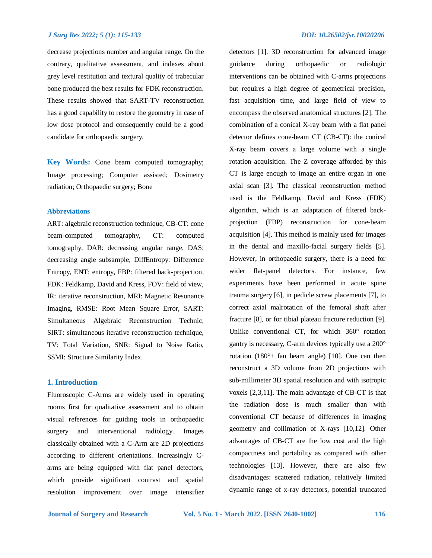decrease projections number and angular range. On the contrary, qualitative assessment, and indexes about grey level restitution and textural quality of trabecular bone produced the best results for FDK reconstruction. These results showed that SART-TV reconstruction has a good capability to restore the geometry in case of low dose protocol and consequently could be a good candidate for orthopaedic surgery.

**Key Words:** Cone beam computed tomography; Image processing; Computer assisted; Dosimetry radiation; Orthopaedic surgery; Bone

#### **Abbreviations**

ART: algebraic reconstruction technique, CB-CT: cone beam-computed tomography, CT: computed tomography, DAR: decreasing angular range, DAS: decreasing angle subsample, DiffEntropy: Difference Entropy, ENT: entropy, FBP: filtered back-projection, FDK: Feldkamp, David and Kress, FOV: field of view, IR: iterative reconstruction, MRI: Magnetic Resonance Imaging, RMSE: Root Mean Square Error, SART: Simultaneous Algebraic Reconstruction Technic, SIRT: simultaneous iterative reconstruction technique, TV: Total Variation, SNR: Signal to Noise Ratio, SSMI: Structure Similarity Index.

#### **1. Introduction**

Fluoroscopic C-Arms are widely used in operating rooms first for qualitative assessment and to obtain visual references for guiding tools in orthopaedic surgery and interventional radiology. Images classically obtained with a C-Arm are 2D projections according to different orientations. Increasingly Carms are being equipped with flat panel detectors, which provide significant contrast and spatial resolution improvement over image intensifier

detectors [1]. 3D reconstruction for advanced image guidance during orthopaedic or radiologic interventions can be obtained with C-arms projections but requires a high degree of geometrical precision, fast acquisition time, and large field of view to encompass the observed anatomical structures [2]. The combination of a conical X-ray beam with a flat panel detector defines cone-beam CT (CB-CT): the conical X-ray beam covers a large volume with a single rotation acquisition. The Z coverage afforded by this CT is large enough to image an entire organ in one axial scan [3]. The classical reconstruction method used is the Feldkamp, David and Kress (FDK) algorithm, which is an adaptation of filtered backprojection (FBP) reconstruction for cone-beam acquisition [4]. This method is mainly used for images in the dental and maxillo-facial surgery fields [5]. However, in orthopaedic surgery, there is a need for wider flat-panel detectors. For instance, few experiments have been performed in acute spine trauma surgery [6], in pedicle screw placements [7], to correct axial malrotation of the femoral shaft after fracture [8], or for tibial plateau fracture reduction [9]. Unlike conventional CT, for which 360° rotation gantry is necessary, C-arm devices typically use a 200° rotation (180°+ fan beam angle) [10]. One can then reconstruct a 3D volume from 2D projections with sub-millimeter 3D spatial resolution and with isotropic voxels [2,3,11]. The main advantage of CB-CT is that the radiation dose is much smaller than with conventional CT because of differences in imaging geometry and collimation of X-rays [10,12]. Other advantages of CB-CT are the low cost and the high compactness and portability as compared with other technologies [13]. However, there are also few disadvantages: scattered radiation, relatively limited dynamic range of x-ray detectors, potential truncated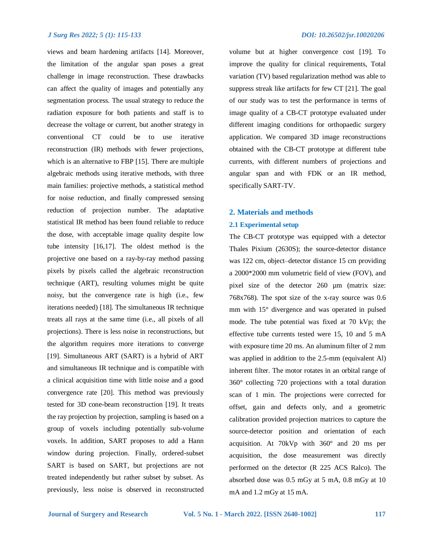views and beam hardening artifacts [14]. Moreover, the limitation of the angular span poses a great challenge in image reconstruction. These drawbacks can affect the quality of images and potentially any segmentation process. The usual strategy to reduce the radiation exposure for both patients and staff is to decrease the voltage or current, but another strategy in conventional CT could be to use iterative reconstruction (IR) methods with fewer projections, which is an alternative to FBP [15]. There are multiple algebraic methods using iterative methods, with three main families: projective methods, a statistical method for noise reduction, and finally compressed sensing reduction of projection number. The adaptative statistical IR method has been found reliable to reduce the dose, with acceptable image quality despite low tube intensity [16,17]. The oldest method is the projective one based on a ray-by-ray method passing pixels by pixels called the algebraic reconstruction technique (ART), resulting volumes might be quite noisy, but the convergence rate is high (i.e., few iterations needed) [18]. The simultaneous IR technique treats all rays at the same time (i.e., all pixels of all projections). There is less noise in reconstructions, but the algorithm requires more iterations to converge [19]. Simultaneous ART (SART) is a hybrid of ART and simultaneous IR technique and is compatible with a clinical acquisition time with little noise and a good convergence rate [20]. This method was previously tested for 3D cone-beam reconstruction [19]. It treats the ray projection by projection, sampling is based on a group of voxels including potentially sub-volume voxels. In addition, SART proposes to add a Hann window during projection. Finally, ordered-subset SART is based on SART, but projections are not treated independently but rather subset by subset. As previously, less noise is observed in reconstructed volume but at higher convergence cost [19]. To improve the quality for clinical requirements, Total variation (TV) based regularization method was able to suppress streak like artifacts for few CT [21]. The goal of our study was to test the performance in terms of image quality of a CB-CT prototype evaluated under different imaging conditions for orthopaedic surgery application. We compared 3D image reconstructions obtained with the CB-CT prototype at different tube currents, with different numbers of projections and angular span and with FDK or an IR method, specifically SART-TV.

#### **2. Materials and methods**

#### **2.1 Experimental setup**

The CB-CT prototype was equipped with a detector Thales Pixium (2630S); the source-detector distance was 122 cm, object–detector distance 15 cm providing a 2000\*2000 mm volumetric field of view (FOV), and pixel size of the detector 260 µm (matrix size: 768x768). The spot size of the x-ray source was 0.6 mm with 15° divergence and was operated in pulsed mode. The tube potential was fixed at 70 kVp; the effective tube currents tested were 15, 10 and 5 mA with exposure time 20 ms. An aluminum filter of 2 mm was applied in addition to the 2.5-mm (equivalent Al) inherent filter. The motor rotates in an orbital range of 360° collecting 720 projections with a total duration scan of 1 min. The projections were corrected for offset, gain and defects only, and a geometric calibration provided projection matrices to capture the source-detector position and orientation of each acquisition. At 70kVp with 360° and 20 ms per acquisition, the dose measurement was directly performed on the detector (R 225 ACS Ralco). The absorbed dose was 0.5 mGy at 5 mA, 0.8 mGy at 10 mA and 1.2 mGy at 15 mA.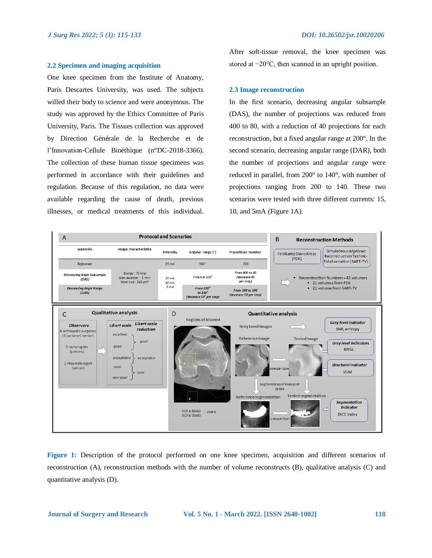#### **2.2 Specimen and imaging acquisition**

One knee specimen from the Institute of Anatomy, Paris Descartes University, was used. The subjects willed their body to science and were anonymous. The study was approved by the Ethics Committee of Paris University, Paris. The Tissues collection was approved by Direction Générale de la Recherche et de l'Innovation-Cellule Bioéthique (n°DC-2018-3366). The collection of these human tissue specimens was performed in accordance with their guidelines and regulation. Because of this regulation, no data were available regarding the cause of death, previous illnesses, or medical treatments of this individual.

After soft-tissue removal, the knee specimen was stored at −20°C, then scanned in an upright position.

#### **2.3 Image reconstruction**

In the first scenario, decreasing angular subsample (DAS), the number of projections was reduced from 400 to 80, with a reduction of 40 projections for each reconstruction, but a fixed angular range at 200°. In the second scenario, decreasing angular range (DAR), both the number of projections and angular range were reduced in parallel, from 200° to 140°, with number of projections ranging from 200 to 140. These two scenarios were tested with three different currents: 15, 10, and 5mA (Figure 1A).



**Figure 1:** Description of the protocol performed on one knee specimen, acquisition and different scenarios of reconstruction (A), reconstruction methods with the number of volume reconstructs (B), qualitative analysis (C) and quantitative analysis (D).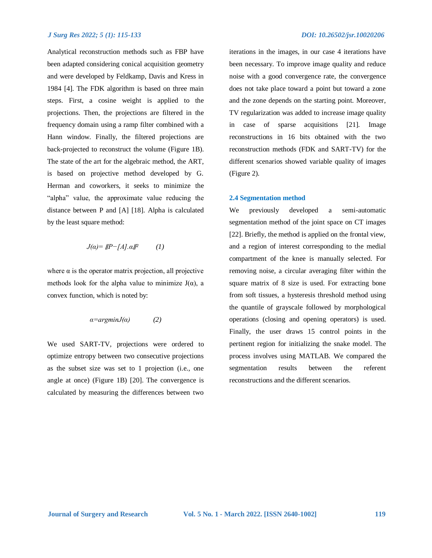Analytical reconstruction methods such as FBP have been adapted considering conical acquisition geometry and were developed by Feldkamp, Davis and Kress in 1984 [4]. The FDK algorithm is based on three main steps. First, a cosine weight is applied to the projections. Then, the projections are filtered in the frequency domain using a ramp filter combined with a Hann window. Finally, the filtered projections are back-projected to reconstruct the volume (Figure 1B). The state of the art for the algebraic method, the ART, is based on projective method developed by G. Herman and coworkers, it seeks to minimize the "alpha" value, the approximate value reducing the distance between P and [A] [18]. Alpha is calculated by the least square method:

$$
J(\alpha) = ||P - [A].\alpha||^2 \qquad (1)
$$

where  $\alpha$  is the operator matrix projection, all projective methods look for the alpha value to minimize  $J(\alpha)$ , a convex function, which is noted by:

$$
\alpha = argmin J(\alpha) \tag{2}
$$

We used SART-TV, projections were ordered to optimize entropy between two consecutive projections as the subset size was set to 1 projection (i.e., one angle at once) (Figure 1B) [20]. The convergence is calculated by measuring the differences between two

iterations in the images, in our case 4 iterations have been necessary. To improve image quality and reduce noise with a good convergence rate, the convergence does not take place toward a point but toward a zone and the zone depends on the starting point. Moreover, TV regularization was added to increase image quality in case of sparse acquisitions [21]. Image reconstructions in 16 bits obtained with the two reconstruction methods (FDK and SART-TV) for the different scenarios showed variable quality of images (Figure 2).

#### **2.4 Segmentation method**

We previously developed a semi-automatic segmentation method of the joint space on CT images [22]. Briefly, the method is applied on the frontal view, and a region of interest corresponding to the medial compartment of the knee is manually selected. For removing noise, a circular averaging filter within the square matrix of 8 size is used. For extracting bone from soft tissues, a hysteresis threshold method using the quantile of grayscale followed by morphological operations (closing and opening operators) is used. Finally, the user draws 15 control points in the pertinent region for initializing the snake model. The process involves using MATLAB. We compared the segmentation results between the referent reconstructions and the different scenarios.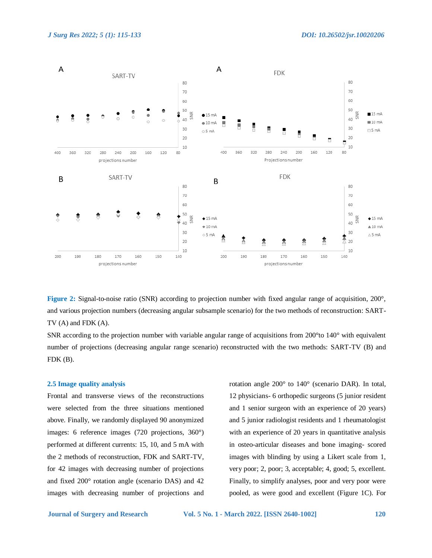

**Figure 2:** Signal-to-noise ratio (SNR) according to projection number with fixed angular range of acquisition, 200°, and various projection numbers (decreasing angular subsample scenario) for the two methods of reconstruction: SART-TV (A) and FDK (A).

SNR according to the projection number with variable angular range of acquisitions from 200°to 140° with equivalent number of projections (decreasing angular range scenario) reconstructed with the two methods: SART-TV (B) and FDK (B).

#### **2.5 Image quality analysis**

Frontal and transverse views of the reconstructions were selected from the three situations mentioned above. Finally, we randomly displayed 90 anonymized images: 6 reference images (720 projections, 360°) performed at different currents: 15, 10, and 5 mA with the 2 methods of reconstruction, FDK and SART-TV, for 42 images with decreasing number of projections and fixed 200° rotation angle (scenario DAS) and 42 images with decreasing number of projections and rotation angle 200° to 140° (scenario DAR). In total, 12 physicians- 6 orthopedic surgeons (5 junior resident and 1 senior surgeon with an experience of 20 years) and 5 junior radiologist residents and 1 rheumatologist with an experience of 20 years in quantitative analysis in osteo-articular diseases and bone imaging- scored images with blinding by using a Likert scale from 1, very poor; 2, poor; 3, acceptable; 4, good; 5, excellent. Finally, to simplify analyses, poor and very poor were pooled, as were good and excellent (Figure 1C). For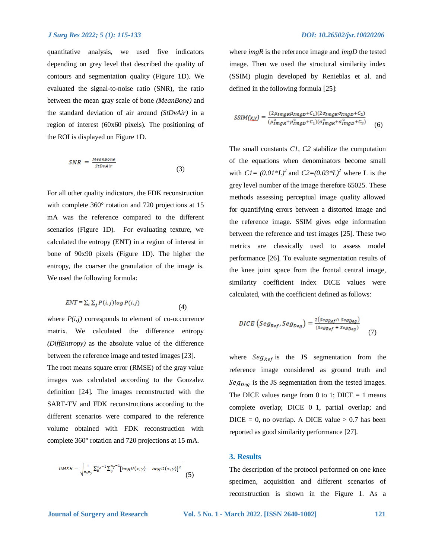quantitative analysis, we used five indicators depending on grey level that described the quality of contours and segmentation quality (Figure 1D). We evaluated the signal-to-noise ratio (SNR), the ratio between the mean gray scale of bone *(MeanBone)* and the standard deviation of air around *(StDvAir)* in a region of interest (60x60 pixels). The positioning of the ROI is displayed on Figure 1D.

$$
SNR = \frac{MeanBone}{StDvAir}
$$
\n(3)

For all other quality indicators, the FDK reconstruction with complete 360° rotation and 720 projections at 15 mA was the reference compared to the different scenarios (Figure 1D). For evaluating texture, we calculated the entropy (ENT) in a region of interest in bone of 90x90 pixels (Figure 1D). The higher the entropy, the coarser the granulation of the image is. We used the following formula:

$$
ENT = \sum_{i} \sum_{j} P(i, j) \log P(i, j) \tag{4}
$$

where  $P(i, j)$  corresponds to element of co-occurrence matrix. We calculated the difference entropy *(DiffEntropy)* as the absolute value of the difference between the reference image and tested images [23]. The root means square error (RMSE) of the gray value images was calculated according to the Gonzalez definition [24]. The images reconstructed with the SART-TV and FDK reconstructions according to the different scenarios were compared to the reference volume obtained with FDK reconstruction with complete 360° rotation and 720 projections at 15 mA.

$$
RMSE = \sqrt{\frac{1}{n_x n_y} \sum_{0}^{n_x - 1} \sum_{0}^{n_y - 1} [imgR(x, y) - imgD(x, y)]^2}
$$
(5)

where *imgR* is the reference image and *imgD* the tested image. Then we used the structural similarity index (SSIM) plugin developed by Renieblas et al. and defined in the following formula [25]:

$$
SSIM(\chi\chi) = \frac{(2\mu_{ImgR}\mu_{ImgD} + C_1)(2\sigma_{imgR}\sigma_{ImgD} + C_2)}{(\mu_{imgR}^2 + \mu_{imgD}^2 + C_1)(\sigma_{imgR}^2 + \sigma_{imgD}^2 + C_2)} \tag{6}
$$

The small constants *C1, C2* stabilize the computation of the equations when denominators become small with  $CI = (0.01 * L)^2$  and  $C2 = (0.03 * L)^2$  where L is the grey level number of the image therefore 65025. These methods assessing perceptual image quality allowed for quantifying errors between a distorted image and the reference image. SSIM gives edge information between the reference and test images [25]. These two metrics are classically used to assess model performance [26]. To evaluate segmentation results of the knee joint space from the frontal central image, similarity coefficient index DICE values were calculated, with the coefficient defined as follows:

$$
DICE\left(Seg_{Ref}, Seg_{Deg}\right) = \frac{2(s_{egr_{Ref}} \cap seg_{Deg})}{(seg_{Ref} + seg_{Deg})}
$$
\n(7)

where  $Seg_{Ref}$  is the JS segmentation from the reference image considered as ground truth and  $Seg_{Deg}}$  is the JS segmentation from the tested images. The DICE values range from 0 to 1; DICE  $= 1$  means complete overlap; DICE 0–1, partial overlap; and  $DICE = 0$ , no overlap. A DICE value  $> 0.7$  has been reported as good similarity performance [27].

#### **3. Results**

The description of the protocol performed on one knee specimen, acquisition and different scenarios of reconstruction is shown in the Figure 1. As a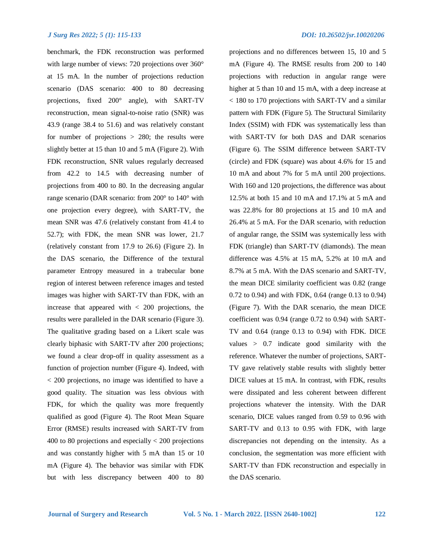benchmark, the FDK reconstruction was performed with large number of views: 720 projections over 360° at 15 mA. In the number of projections reduction scenario (DAS scenario: 400 to 80 decreasing projections, fixed 200° angle), with SART-TV reconstruction, mean signal-to-noise ratio (SNR) was 43.9 (range 38.4 to 51.6) and was relatively constant for number of projections  $> 280$ ; the results were slightly better at 15 than 10 and 5 mA (Figure 2). With FDK reconstruction, SNR values regularly decreased from 42.2 to 14.5 with decreasing number of projections from 400 to 80. In the decreasing angular range scenario (DAR scenario: from 200° to 140° with one projection every degree), with SART-TV, the mean SNR was 47.6 (relatively constant from 41.4 to 52.7); with FDK, the mean SNR was lower, 21.7 (relatively constant from 17.9 to 26.6) (Figure 2). In the DAS scenario, the Difference of the textural parameter Entropy measured in a trabecular bone region of interest between reference images and tested images was higher with SART-TV than FDK, with an increase that appeared with  $\langle 200 \rangle$  projections, the results were paralleled in the DAR scenario (Figure 3). The qualitative grading based on a Likert scale was clearly biphasic with SART-TV after 200 projections; we found a clear drop-off in quality assessment as a function of projection number (Figure 4). Indeed, with < 200 projections, no image was identified to have a good quality. The situation was less obvious with FDK, for which the quality was more frequently qualified as good (Figure 4). The Root Mean Square Error (RMSE) results increased with SART-TV from 400 to 80 projections and especially < 200 projections and was constantly higher with 5 mA than 15 or 10 mA (Figure 4). The behavior was similar with FDK but with less discrepancy between 400 to 80

projections and no differences between 15, 10 and 5 mA (Figure 4). The RMSE results from 200 to 140 projections with reduction in angular range were higher at 5 than 10 and 15 mA, with a deep increase at < 180 to 170 projections with SART-TV and a similar pattern with FDK (Figure 5). The Structural Similarity Index (SSIM) with FDK was systematically less than with SART-TV for both DAS and DAR scenarios (Figure 6). The SSIM difference between SART-TV (circle) and FDK (square) was about 4.6% for 15 and 10 mA and about 7% for 5 mA until 200 projections. With 160 and 120 projections, the difference was about 12.5% at both 15 and 10 mA and 17.1% at 5 mA and was 22.8% for 80 projections at 15 and 10 mA and 26.4% at 5 mA. For the DAR scenario, with reduction of angular range, the SSIM was systemically less with FDK (triangle) than SART-TV (diamonds). The mean difference was 4.5% at 15 mA, 5.2% at 10 mA and 8.7% at 5 mA. With the DAS scenario and SART-TV, the mean DICE similarity coefficient was 0.82 (range 0.72 to 0.94) and with FDK, 0.64 (range 0.13 to 0.94) (Figure 7). With the DAR scenario, the mean DICE coefficient was 0.94 (range 0.72 to 0.94) with SART-TV and 0.64 (range 0.13 to 0.94) with FDK. DICE values > 0.7 indicate good similarity with the reference. Whatever the number of projections, SART-TV gave relatively stable results with slightly better DICE values at 15 mA. In contrast, with FDK, results were dissipated and less coherent between different projections whatever the intensity. With the DAR scenario, DICE values ranged from 0.59 to 0.96 with SART-TV and 0.13 to 0.95 with FDK, with large discrepancies not depending on the intensity. As a conclusion, the segmentation was more efficient with SART-TV than FDK reconstruction and especially in the DAS scenario.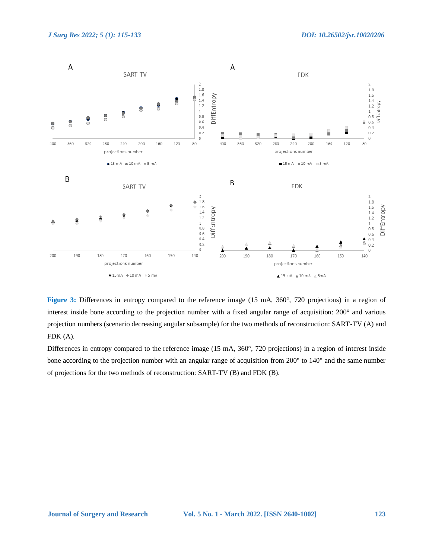

**Figure 3:** Differences in entropy compared to the reference image (15 mA, 360°, 720 projections) in a region of interest inside bone according to the projection number with a fixed angular range of acquisition: 200° and various projection numbers (scenario decreasing angular subsample) for the two methods of reconstruction: SART-TV (A) and FDK (A).

Differences in entropy compared to the reference image (15 mA, 360°, 720 projections) in a region of interest inside bone according to the projection number with an angular range of acquisition from 200° to 140° and the same number of projections for the two methods of reconstruction: SART-TV (B) and FDK (B).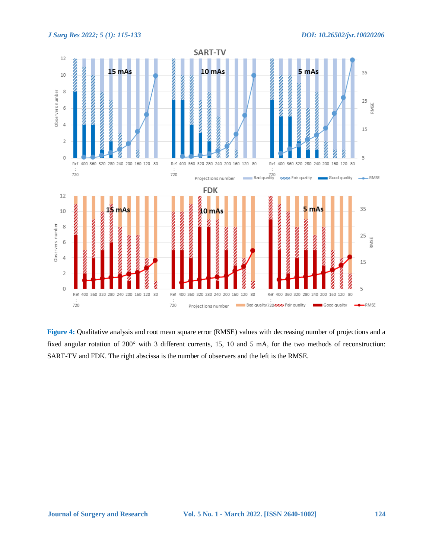

**Figure 4:** Qualitative analysis and root mean square error (RMSE) values with decreasing number of projections and a fixed angular rotation of 200° with 3 different currents, 15, 10 and 5 mA, for the two methods of reconstruction: SART-TV and FDK. The right abscissa is the number of observers and the left is the RMSE.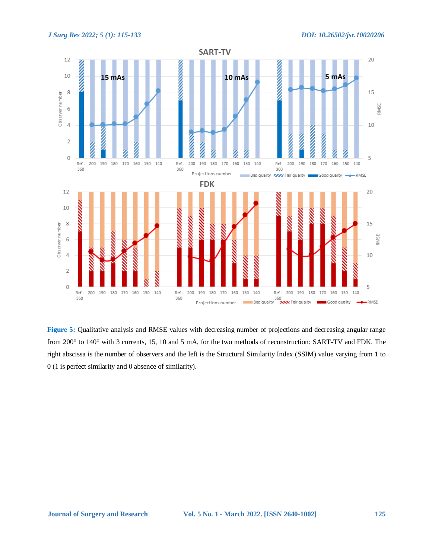

**Figure 5:** Qualitative analysis and RMSE values with decreasing number of projections and decreasing angular range from 200° to 140° with 3 currents, 15, 10 and 5 mA, for the two methods of reconstruction: SART-TV and FDK. The right abscissa is the number of observers and the left is the Structural Similarity Index (SSIM) value varying from 1 to 0 (1 is perfect similarity and 0 absence of similarity).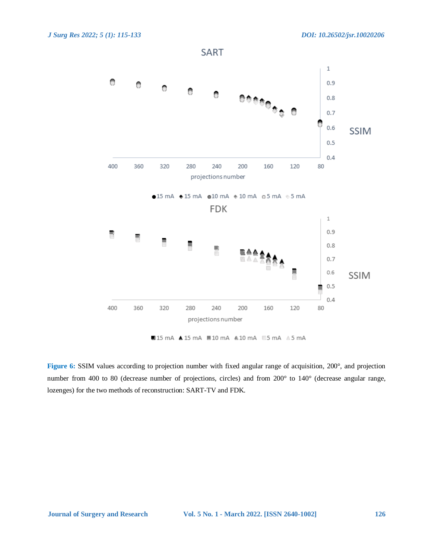

■15 mA ▲15 mA ■10 mA ▲10 mA ■5 mA △5 mA

120

80

**Figure 6:** SSIM values according to projection number with fixed angular range of acquisition, 200°, and projection number from 400 to 80 (decrease number of projections, circles) and from 200° to 140° (decrease angular range, lozenges) for the two methods of reconstruction: SART-TV and FDK.

projections number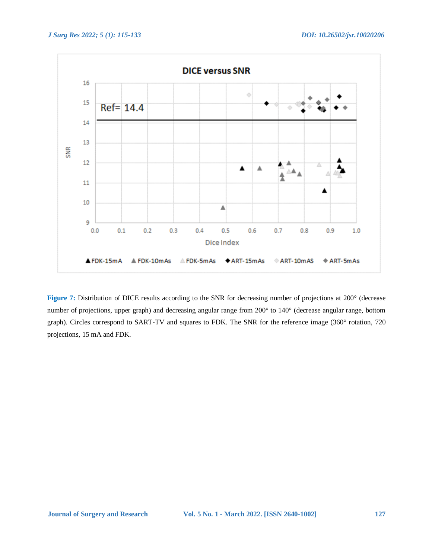

**Figure 7:** Distribution of DICE results according to the SNR for decreasing number of projections at 200° (decrease number of projections, upper graph) and decreasing angular range from 200° to 140° (decrease angular range, bottom graph). Circles correspond to SART-TV and squares to FDK. The SNR for the reference image (360° rotation, 720 projections, 15 mA and FDK.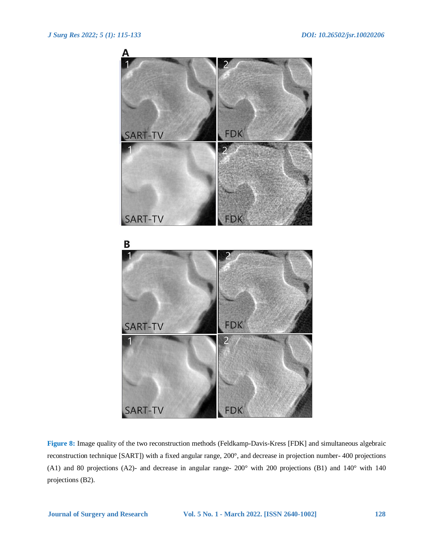

**Figure 8:** Image quality of the two reconstruction methods (Feldkamp-Davis-Kress [FDK] and simultaneous algebraic reconstruction technique [SART]) with a fixed angular range, 200°, and decrease in projection number- 400 projections (A1) and 80 projections (A2)- and decrease in angular range- 200° with 200 projections (B1) and 140° with 140 projections (B2).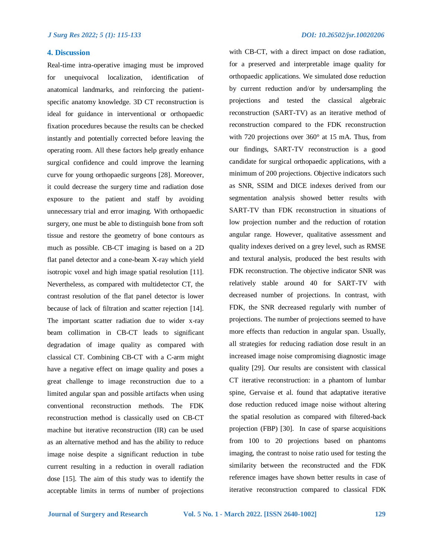#### **4. Discussion**

Real-time intra-operative imaging must be improved for unequivocal localization, identification of anatomical landmarks, and reinforcing the patientspecific anatomy knowledge. 3D CT reconstruction is ideal for guidance in interventional or orthopaedic fixation procedures because the results can be checked instantly and potentially corrected before leaving the operating room. All these factors help greatly enhance surgical confidence and could improve the learning curve for young orthopaedic surgeons [28]. Moreover, it could decrease the surgery time and radiation dose exposure to the patient and staff by avoiding unnecessary trial and error imaging. With orthopaedic surgery, one must be able to distinguish bone from soft tissue and restore the geometry of bone contours as much as possible. CB-CT imaging is based on a 2D flat panel detector and a cone-beam X-ray which yield isotropic voxel and high image spatial resolution [11]. Nevertheless, as compared with multidetector CT, the contrast resolution of the flat panel detector is lower because of lack of filtration and scatter rejection [14]. The important scatter radiation due to wider x-ray beam collimation in CB-CT leads to significant degradation of image quality as compared with classical CT. Combining CB-CT with a C-arm might have a negative effect on image quality and poses a great challenge to image reconstruction due to a limited angular span and possible artifacts when using conventional reconstruction methods. The FDK reconstruction method is classically used on CB-CT machine but iterative reconstruction (IR) can be used as an alternative method and has the ability to reduce image noise despite a significant reduction in tube current resulting in a reduction in overall radiation dose [15]. The aim of this study was to identify the acceptable limits in terms of number of projections

with CB-CT, with a direct impact on dose radiation, for a preserved and interpretable image quality for orthopaedic applications. We simulated dose reduction by current reduction and/or by undersampling the projections and tested the classical algebraic reconstruction (SART-TV) as an iterative method of reconstruction compared to the FDK reconstruction with 720 projections over 360° at 15 mA. Thus, from our findings, SART-TV reconstruction is a good candidate for surgical orthopaedic applications, with a minimum of 200 projections. Objective indicators such as SNR, SSIM and DICE indexes derived from our segmentation analysis showed better results with SART-TV than FDK reconstruction in situations of low projection number and the reduction of rotation angular range. However, qualitative assessment and quality indexes derived on a grey level, such as RMSE and textural analysis, produced the best results with FDK reconstruction. The objective indicator SNR was relatively stable around 40 for SART-TV with decreased number of projections. In contrast, with FDK, the SNR decreased regularly with number of projections. The number of projections seemed to have more effects than reduction in angular span. Usually, all strategies for reducing radiation dose result in an increased image noise compromising diagnostic image quality [29]. Our results are consistent with classical CT iterative reconstruction: in a phantom of lumbar spine, Gervaise et al. found that adaptative iterative dose reduction reduced image noise without altering the spatial resolution as compared with filtered-back projection (FBP) [30]. In case of sparse acquisitions from 100 to 20 projections based on phantoms imaging, the contrast to noise ratio used for testing the similarity between the reconstructed and the FDK reference images have shown better results in case of iterative reconstruction compared to classical FDK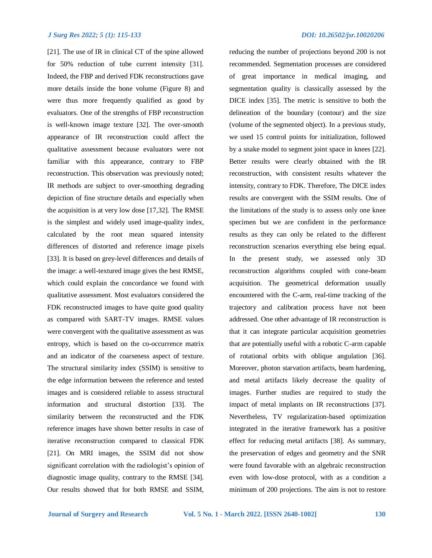[21]. The use of IR in clinical CT of the spine allowed for 50% reduction of tube current intensity [31]. Indeed, the FBP and derived FDK reconstructions gave more details inside the bone volume (Figure 8) and were thus more frequently qualified as good by evaluators. One of the strengths of FBP reconstruction is well-known image texture [32]. The over-smooth appearance of IR reconstruction could affect the qualitative assessment because evaluators were not familiar with this appearance, contrary to FBP reconstruction. This observation was previously noted; IR methods are subject to over-smoothing degrading depiction of fine structure details and especially when the acquisition is at very low dose [17,32]. The RMSE is the simplest and widely used image-quality index, calculated by the root mean squared intensity differences of distorted and reference image pixels [33]. It is based on grey-level differences and details of the image: a well-textured image gives the best RMSE, which could explain the concordance we found with qualitative assessment. Most evaluators considered the FDK reconstructed images to have quite good quality as compared with SART-TV images. RMSE values were convergent with the qualitative assessment as was entropy, which is based on the co-occurrence matrix and an indicator of the coarseness aspect of texture. The structural similarity index (SSIM) is sensitive to the edge information between the reference and tested images and is considered reliable to assess structural information and structural distortion [33]. The similarity between the reconstructed and the FDK reference images have shown better results in case of iterative reconstruction compared to classical FDK [21]. On MRI images, the SSIM did not show significant correlation with the radiologist's opinion of diagnostic image quality, contrary to the RMSE [34]. Our results showed that for both RMSE and SSIM,

reducing the number of projections beyond 200 is not recommended. Segmentation processes are considered of great importance in medical imaging, and segmentation quality is classically assessed by the DICE index [35]. The metric is sensitive to both the delineation of the boundary (contour) and the size (volume of the segmented object). In a previous study, we used 15 control points for initialization, followed by a snake model to segment joint space in knees [22]. Better results were clearly obtained with the IR reconstruction, with consistent results whatever the intensity, contrary to FDK. Therefore, The DICE index results are convergent with the SSIM results. One of the limitations of the study is to assess only one knee specimen but we are confident in the performance results as they can only be related to the different reconstruction scenarios everything else being equal. In the present study, we assessed only 3D reconstruction algorithms coupled with cone-beam acquisition. The geometrical deformation usually encountered with the C-arm, real-time tracking of the trajectory and calibration process have not been addressed. One other advantage of IR reconstruction is that it can integrate particular acquisition geometries that are potentially useful with a robotic C-arm capable of rotational orbits with oblique angulation [36]. Moreover, photon starvation artifacts, beam hardening, and metal artifacts likely decrease the quality of images. Further studies are required to study the impact of metal implants on IR reconstructions [37]. Nevertheless, TV regularization-based optimization integrated in the iterative framework has a positive effect for reducing metal artifacts [38]. As summary, the preservation of edges and geometry and the SNR were found favorable with an algebraic reconstruction even with low-dose protocol, with as a condition a minimum of 200 projections. The aim is not to restore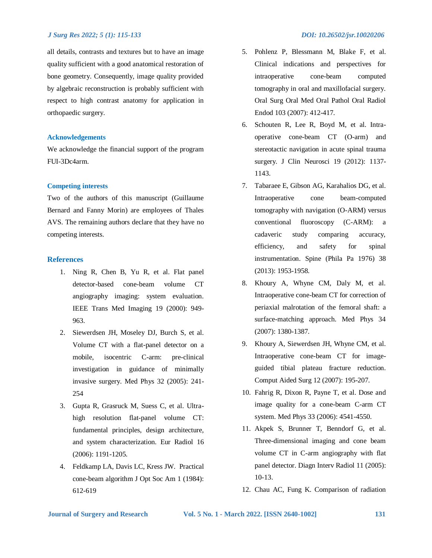all details, contrasts and textures but to have an image quality sufficient with a good anatomical restoration of bone geometry. Consequently, image quality provided by algebraic reconstruction is probably sufficient with respect to high contrast anatomy for application in orthopaedic surgery.

#### **Acknowledgements**

We acknowledge the financial support of the program FUI-3Dc4arm.

#### **Competing interests**

Two of the authors of this manuscript (Guillaume Bernard and Fanny Morin) are employees of Thales AVS. The remaining authors declare that they have no competing interests.

#### **References**

- 1. Ning R, Chen B, Yu R, et al. Flat panel detector-based cone-beam volume CT angiography imaging: system evaluation. IEEE Trans Med Imaging 19 (2000): 949- 963.
- 2. Siewerdsen JH, Moseley DJ, Burch S, et al. Volume CT with a flat-panel detector on a mobile, isocentric C-arm: pre-clinical investigation in guidance of minimally invasive surgery. Med Phys 32 (2005): 241- 254
- 3. Gupta R, Grasruck M, Suess C, et al. Ultrahigh resolution flat-panel volume CT: fundamental principles, design architecture, and system characterization. Eur Radiol 16 (2006): 1191-1205.
- 4. Feldkamp LA, Davis LC, Kress JW. Practical cone-beam algorithm J Opt Soc Am 1 (1984): 612-619

- 5. Pohlenz P, Blessmann M, Blake F, et al. Clinical indications and perspectives for intraoperative cone-beam computed tomography in oral and maxillofacial surgery. Oral Surg Oral Med Oral Pathol Oral Radiol Endod 103 (2007): 412-417.
- 6. Schouten R, Lee R, Boyd M, et al. Intraoperative cone-beam CT (O-arm) and stereotactic navigation in acute spinal trauma surgery. J Clin Neurosci 19 (2012): 1137- 1143.
- 7. Tabaraee E, Gibson AG, Karahalios DG, et al. Intraoperative cone beam-computed tomography with navigation (O-ARM) versus conventional fluoroscopy (C-ARM): a cadaveric study comparing accuracy, efficiency, and safety for spinal instrumentation. Spine (Phila Pa 1976) 38 (2013): 1953-1958.
- 8. Khoury A, Whyne CM, Daly M, et al. Intraoperative cone-beam CT for correction of periaxial malrotation of the femoral shaft: a surface-matching approach. Med Phys 34 (2007): 1380-1387.
- 9. Khoury A, Siewerdsen JH, Whyne CM, et al. Intraoperative cone-beam CT for imageguided tibial plateau fracture reduction. Comput Aided Surg 12 (2007): 195-207.
- 10. Fahrig R, Dixon R, Payne T, et al. Dose and image quality for a cone-beam C-arm CT system. Med Phys 33 (2006): 4541-4550.
- 11. Akpek S, Brunner T, Benndorf G, et al. Three-dimensional imaging and cone beam volume CT in C-arm angiography with flat panel detector. Diagn Interv Radiol 11 (2005): 10-13.
- 12. Chau AC, Fung K. Comparison of radiation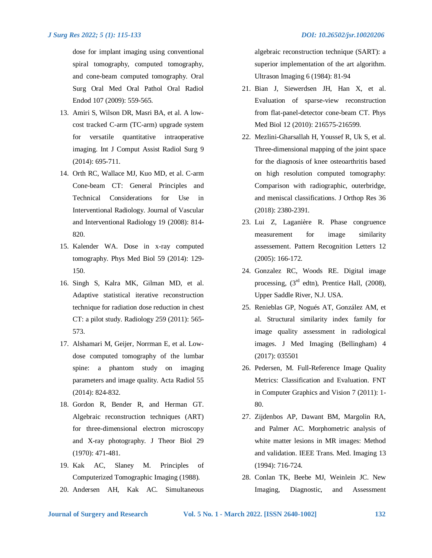dose for implant imaging using conventional spiral tomography, computed tomography, and cone-beam computed tomography. Oral Surg Oral Med Oral Pathol Oral Radiol Endod 107 (2009): 559-565.

- 13. Amiri S, Wilson DR, Masri BA, et al. A lowcost tracked C-arm (TC-arm) upgrade system for versatile quantitative intraoperative imaging. Int J Comput Assist Radiol Surg 9 (2014): 695-711.
- 14. Orth RC, Wallace MJ, Kuo MD, et al. C-arm Cone-beam CT: General Principles and Technical Considerations for Use in Interventional Radiology. Journal of Vascular and Interventional Radiology 19 (2008): 814- 820.
- 15. Kalender WA. Dose in x-ray computed tomography. Phys Med Biol 59 (2014): 129- 150.
- 16. Singh S, Kalra MK, Gilman MD, et al. Adaptive statistical iterative reconstruction technique for radiation dose reduction in chest CT: a pilot study. Radiology 259 (2011): 565- 573.
- 17. Alshamari M, Geijer, Norrman E, et al. Lowdose computed tomography of the lumbar spine: a phantom study on imaging parameters and image quality. Acta Radiol 55 (2014): 824-832.
- 18. Gordon R, Bender R, and Herman GT. Algebraic reconstruction techniques (ART) for three-dimensional electron microscopy and X-ray photography. J Theor Biol 29 (1970): 471-481.
- 19. Kak AC, Slaney M. Principles of Computerized Tomographic Imaging (1988).
- 20. Andersen AH, Kak AC. Simultaneous

algebraic reconstruction technique (SART): a superior implementation of the art algorithm. Ultrason Imaging 6 (1984): 81-94

- 21. Bian J, Siewerdsen JH, Han X, et al. Evaluation of sparse-view reconstruction from flat-panel-detector cone-beam CT. Phys Med Biol 12 (2010): 216575-216599.
- 22. Mezlini-Gharsallah H, Youssef R, Uk S, et al. Three-dimensional mapping of the joint space for the diagnosis of knee osteoarthritis based on high resolution computed tomography: Comparison with radiographic, outerbridge, and meniscal classifications. J Orthop Res 36 (2018): 2380-2391.
- 23. Lui Z, Laganière R. Phase congruence measurement for image similarity assessement. Pattern Recognition Letters 12 (2005): 166-172.
- 24. Gonzalez RC, Woods RE. Digital image processing,  $(3<sup>rd</sup>$  edtn), Prentice Hall,  $(2008)$ , Upper Saddle River, N.J. USA.
- 25. Renieblas GP, Nogués AT, González AM, et al. Structural similarity index family for image quality assessment in radiological images. J Med Imaging (Bellingham) 4 (2017): 035501
- 26. Pedersen, M. Full-Reference Image Quality Metrics: Classification and Evaluation. FNT in Computer Graphics and Vision 7 (2011): 1- 80.
- 27. Zijdenbos AP, Dawant BM, Margolin RA, and Palmer AC. Morphometric analysis of white matter lesions in MR images: Method and validation. IEEE Trans. Med. Imaging 13 (1994): 716-724.
- 28. Conlan TK, Beebe MJ, Weinlein JC. New Imaging, Diagnostic, and Assessment